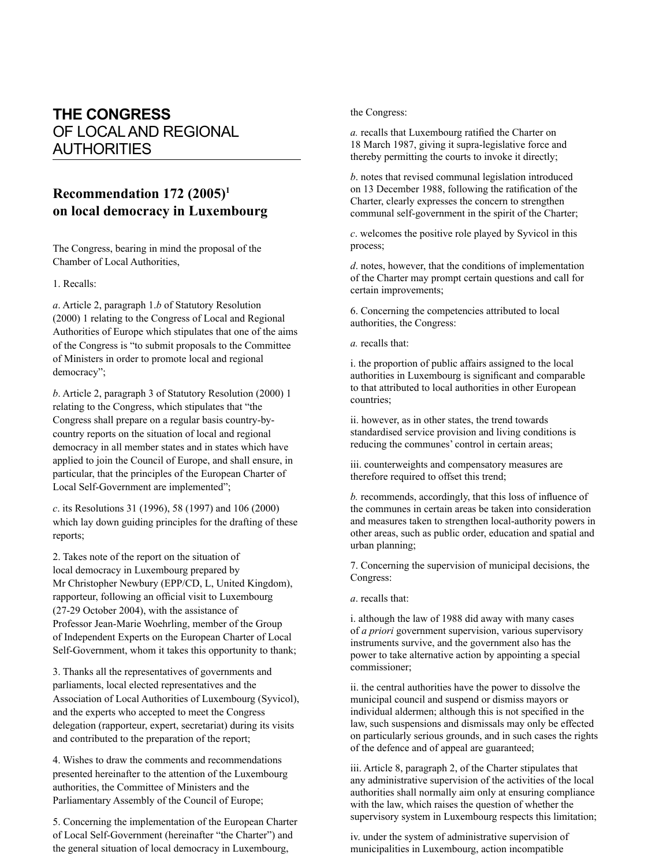## **THE CONGRESS** OF LOCAL AND REGIONAL **AUTHORITIES**

## **Recommendation 172 (2005)<sup>1</sup> on local democracy in Luxembourg**

The Congress, bearing in mind the proposal of the Chamber of Local Authorities,

1. Recalls:

*a*. Article 2, paragraph 1.*b* of Statutory Resolution (2000) 1 relating to the Congress of Local and Regional Authorities of Europe which stipulates that one of the aims of the Congress is "to submit proposals to the Committee of Ministers in order to promote local and regional democracy";

*b*. Article 2, paragraph 3 of Statutory Resolution (2000) 1 relating to the Congress, which stipulates that "the Congress shall prepare on a regular basis country-bycountry reports on the situation of local and regional democracy in all member states and in states which have applied to join the Council of Europe, and shall ensure, in particular, that the principles of the European Charter of Local Self-Government are implemented";

*c*. its Resolutions 31 (1996), 58 (1997) and 106 (2000) which lay down guiding principles for the drafting of these reports;

2. Takes note of the report on the situation of local democracy in Luxembourg prepared by Mr Christopher Newbury (EPP/CD, L, United Kingdom), rapporteur, following an official visit to Luxembourg (27-29 October 2004), with the assistance of Professor Jean-Marie Woehrling, member of the Group of Independent Experts on the European Charter of Local Self-Government, whom it takes this opportunity to thank;

3. Thanks all the representatives of governments and parliaments, local elected representatives and the Association of Local Authorities of Luxembourg (Syvicol), and the experts who accepted to meet the Congress delegation (rapporteur, expert, secretariat) during its visits and contributed to the preparation of the report;

4. Wishes to draw the comments and recommendations presented hereinafter to the attention of the Luxembourg authorities, the Committee of Ministers and the Parliamentary Assembly of the Council of Europe;

5. Concerning the implementation of the European Charter of Local Self-Government (hereinafter "the Charter") and the general situation of local democracy in Luxembourg,

## the Congress:

*a*. recalls that Luxembourg ratified the Charter on 18 March 1987, giving it supra-legislative force and thereby permitting the courts to invoke it directly;

*b*. notes that revised communal legislation introduced on 13 December 1988, following the ratification of the Charter, clearly expresses the concern to strengthen communal self-government in the spirit of the Charter;

*c*. welcomes the positive role played by Syvicol in this process;

*d*. notes, however, that the conditions of implementation of the Charter may prompt certain questions and call for certain improvements;

6. Concerning the competencies attributed to local authorities, the Congress:

*a.* recalls that:

i. the proportion of public affairs assigned to the local authorities in Luxembourg is significant and comparable to that attributed to local authorities in other European countries;

ii. however, as in other states, the trend towards standardised service provision and living conditions is reducing the communes' control in certain areas;

iii. counterweights and compensatory measures are therefore required to offset this trend;

*b.* recommends, accordingly, that this loss of influence of the communes in certain areas be taken into consideration and measures taken to strengthen local-authority powers in other areas, such as public order, education and spatial and urban planning;

7. Concerning the supervision of municipal decisions, the Congress:

*a*. recalls that:

i. although the law of 1988 did away with many cases of *a priori* government supervision, various supervisory instruments survive, and the government also has the power to take alternative action by appointing a special commissioner;

ii. the central authorities have the power to dissolve the municipal council and suspend or dismiss mayors or individual aldermen; although this is not specified in the law, such suspensions and dismissals may only be effected on particularly serious grounds, and in such cases the rights of the defence and of appeal are guaranteed;

iii. Article 8, paragraph 2, of the Charter stipulates that any administrative supervision of the activities of the local authorities shall normally aim only at ensuring compliance with the law, which raises the question of whether the supervisory system in Luxembourg respects this limitation;

iv. under the system of administrative supervision of municipalities in Luxembourg, action incompatible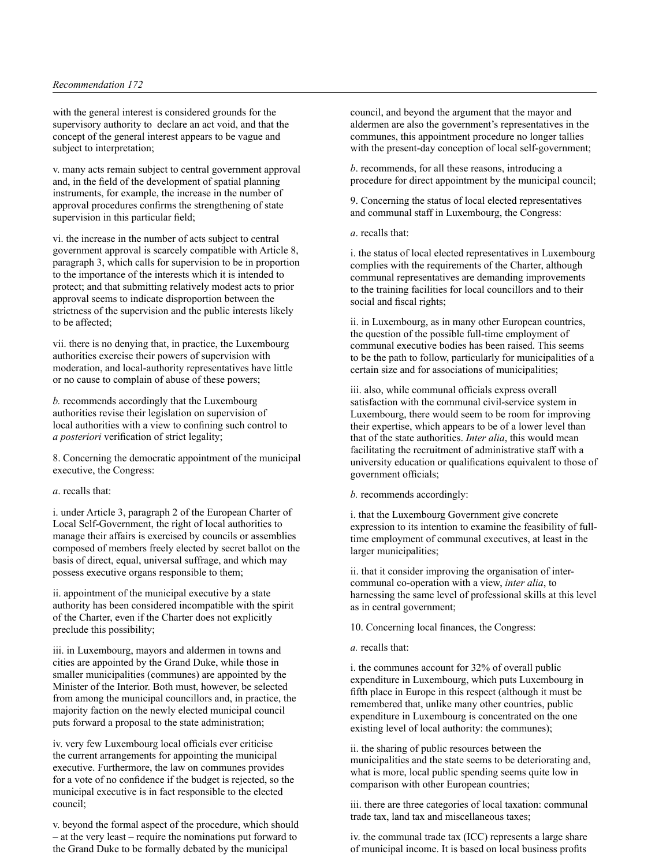with the general interest is considered grounds for the supervisory authority to declare an act void, and that the concept of the general interest appears to be vague and subject to interpretation;

v. many acts remain subject to central government approval and, in the field of the development of spatial planning instruments, for example, the increase in the number of approval procedures confirms the strengthening of state supervision in this particular field;

vi. the increase in the number of acts subject to central government approval is scarcely compatible with Article 8, paragraph 3, which calls for supervision to be in proportion to the importance of the interests which it is intended to protect; and that submitting relatively modest acts to prior approval seems to indicate disproportion between the strictness of the supervision and the public interests likely to be affected;

vii. there is no denying that, in practice, the Luxembourg authorities exercise their powers of supervision with moderation, and local-authority representatives have little or no cause to complain of abuse of these powers;

*b.* recommends accordingly that the Luxembourg authorities revise their legislation on supervision of local authorities with a view to confining such control to *a posteriori* verification of strict legality;

8. Concerning the democratic appointment of the municipal executive, the Congress:

## *a*. recalls that:

i. under Article 3, paragraph 2 of the European Charter of Local Self-Government, the right of local authorities to manage their affairs is exercised by councils or assemblies composed of members freely elected by secret ballot on the basis of direct, equal, universal suffrage, and which may possess executive organs responsible to them;

ii. appointment of the municipal executive by a state authority has been considered incompatible with the spirit of the Charter, even if the Charter does not explicitly preclude this possibility;

iii. in Luxembourg, mayors and aldermen in towns and cities are appointed by the Grand Duke, while those in smaller municipalities (communes) are appointed by the Minister of the Interior. Both must, however, be selected from among the municipal councillors and, in practice, the majority faction on the newly elected municipal council puts forward a proposal to the state administration;

iv. very few Luxembourg local officials ever criticise the current arrangements for appointing the municipal executive. Furthermore, the law on communes provides for a vote of no confidence if the budget is rejected, so the municipal executive is in fact responsible to the elected council;

v. beyond the formal aspect of the procedure, which should – at the very least – require the nominations put forward to the Grand Duke to be formally debated by the municipal

council, and beyond the argument that the mayor and aldermen are also the government's representatives in the communes, this appointment procedure no longer tallies with the present-day conception of local self-government;

*b*. recommends, for all these reasons, introducing a procedure for direct appointment by the municipal council;

9. Concerning the status of local elected representatives and communal staff in Luxembourg, the Congress:

*a*. recalls that:

i. the status of local elected representatives in Luxembourg complies with the requirements of the Charter, although communal representatives are demanding improvements to the training facilities for local councillors and to their social and fiscal rights;

ii. in Luxembourg, as in many other European countries, the question of the possible full-time employment of communal executive bodies has been raised. This seems to be the path to follow, particularly for municipalities of a certain size and for associations of municipalities;

iii. also, while communal officials express overall satisfaction with the communal civil-service system in Luxembourg, there would seem to be room for improving their expertise, which appears to be of a lower level than that of the state authorities. *Inter alia*, this would mean facilitating the recruitment of administrative staff with a university education or qualifications equivalent to those of government officials;

*b.* recommends accordingly:

i. that the Luxembourg Government give concrete expression to its intention to examine the feasibility of fulltime employment of communal executives, at least in the larger municipalities;

ii. that it consider improving the organisation of intercommunal co-operation with a view, *inter alia*, to harnessing the same level of professional skills at this level as in central government;

10. Concerning local finances, the Congress:

*a.* recalls that:

i. the communes account for 32% of overall public expenditure in Luxembourg, which puts Luxembourg in fifth place in Europe in this respect (although it must be remembered that, unlike many other countries, public expenditure in Luxembourg is concentrated on the one existing level of local authority: the communes);

ii. the sharing of public resources between the municipalities and the state seems to be deteriorating and, what is more, local public spending seems quite low in comparison with other European countries;

iii. there are three categories of local taxation: communal trade tax, land tax and miscellaneous taxes;

iv. the communal trade tax (ICC) represents a large share of municipal income. It is based on local business profits